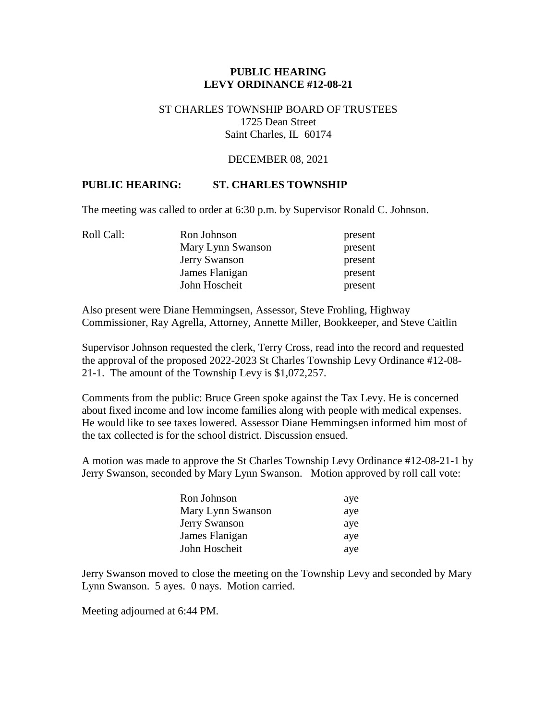## **PUBLIC HEARING LEVY ORDINANCE #12-08-21**

#### ST CHARLES TOWNSHIP BOARD OF TRUSTEES 1725 Dean Street Saint Charles, IL 60174

#### DECEMBER 08, 2021

## **PUBLIC HEARING: ST. CHARLES TOWNSHIP**

The meeting was called to order at 6:30 p.m. by Supervisor Ronald C. Johnson.

| Roll Call: | Ron Johnson       | present |
|------------|-------------------|---------|
|            | Mary Lynn Swanson | present |
|            | Jerry Swanson     | present |
|            | James Flanigan    | present |
|            | John Hoscheit     | present |

Also present were Diane Hemmingsen, Assessor, Steve Frohling, Highway Commissioner, Ray Agrella, Attorney, Annette Miller, Bookkeeper, and Steve Caitlin

Supervisor Johnson requested the clerk, Terry Cross, read into the record and requested the approval of the proposed 2022-2023 St Charles Township Levy Ordinance #12-08- 21-1. The amount of the Township Levy is \$1,072,257.

Comments from the public: Bruce Green spoke against the Tax Levy. He is concerned about fixed income and low income families along with people with medical expenses. He would like to see taxes lowered. Assessor Diane Hemmingsen informed him most of the tax collected is for the school district. Discussion ensued.

A motion was made to approve the St Charles Township Levy Ordinance #12-08-21-1 by Jerry Swanson, seconded by Mary Lynn Swanson. Motion approved by roll call vote:

| Ron Johnson       | aye |
|-------------------|-----|
| Mary Lynn Swanson | aye |
| Jerry Swanson     | aye |
| James Flanigan    | aye |
| John Hoscheit     | aye |

Jerry Swanson moved to close the meeting on the Township Levy and seconded by Mary Lynn Swanson. 5 ayes. 0 nays. Motion carried.

Meeting adjourned at 6:44 PM.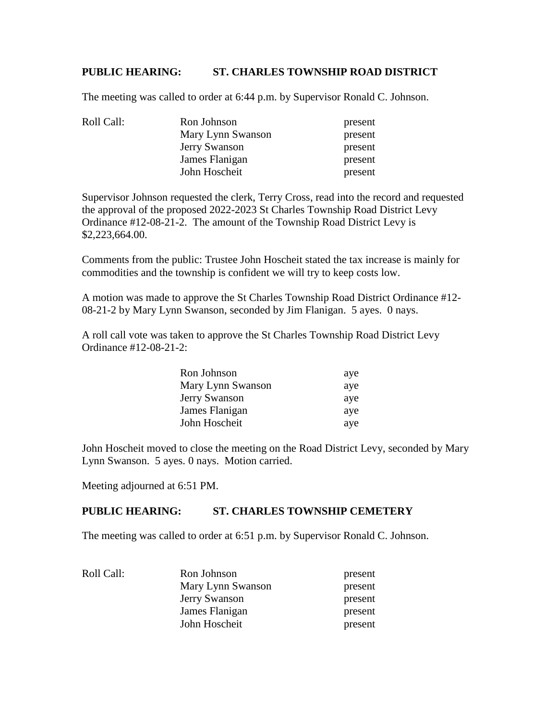# **PUBLIC HEARING: ST. CHARLES TOWNSHIP ROAD DISTRICT**

The meeting was called to order at 6:44 p.m. by Supervisor Ronald C. Johnson.

| Roll Call: | Ron Johnson       | present |
|------------|-------------------|---------|
|            | Mary Lynn Swanson | present |
|            | Jerry Swanson     | present |
|            | James Flanigan    | present |
|            | John Hoscheit     | present |

Supervisor Johnson requested the clerk, Terry Cross, read into the record and requested the approval of the proposed 2022-2023 St Charles Township Road District Levy Ordinance #12-08-21-2. The amount of the Township Road District Levy is \$2,223,664.00.

Comments from the public: Trustee John Hoscheit stated the tax increase is mainly for commodities and the township is confident we will try to keep costs low.

A motion was made to approve the St Charles Township Road District Ordinance #12- 08-21-2 by Mary Lynn Swanson, seconded by Jim Flanigan. 5 ayes. 0 nays.

A roll call vote was taken to approve the St Charles Township Road District Levy Ordinance #12-08-21-2:

| Ron Johnson       | aye |
|-------------------|-----|
| Mary Lynn Swanson | aye |
| Jerry Swanson     | aye |
| James Flanigan    | aye |
| John Hoscheit     | aye |

John Hoscheit moved to close the meeting on the Road District Levy, seconded by Mary Lynn Swanson. 5 ayes. 0 nays. Motion carried.

Meeting adjourned at 6:51 PM.

### **PUBLIC HEARING: ST. CHARLES TOWNSHIP CEMETERY**

The meeting was called to order at 6:51 p.m. by Supervisor Ronald C. Johnson.

| Roll Call: | Ron Johnson       | present |
|------------|-------------------|---------|
|            | Mary Lynn Swanson | present |
|            | Jerry Swanson     | present |
|            | James Flanigan    | present |
|            | John Hoscheit     | present |